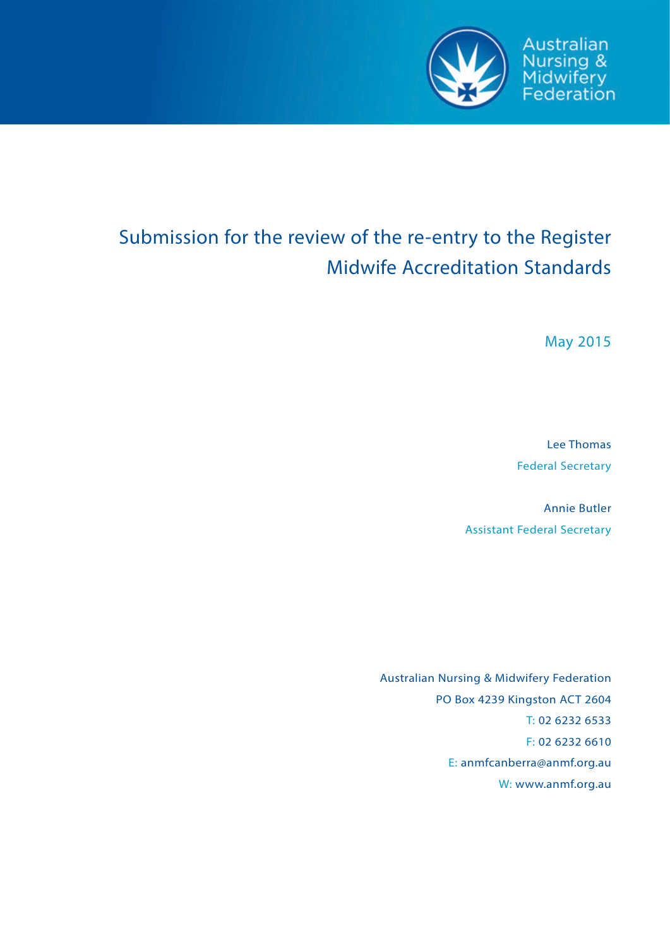

Australian Nursing &<br>Midwifery<br>Federation

# Submission for the review of the re-entry to the Register Midwife Accreditation Standards

May 2015

Lee Thomas Federal Secretary

Annie Butler Assistant Federal Secretary

Australian Nursing & Midwifery Federation PO Box 4239 Kingston ACT 2604 T: 02 6232 6533 F: 02 6232 6610 E: anmfcanberra@anmf.org.au W: www.anmf.org.au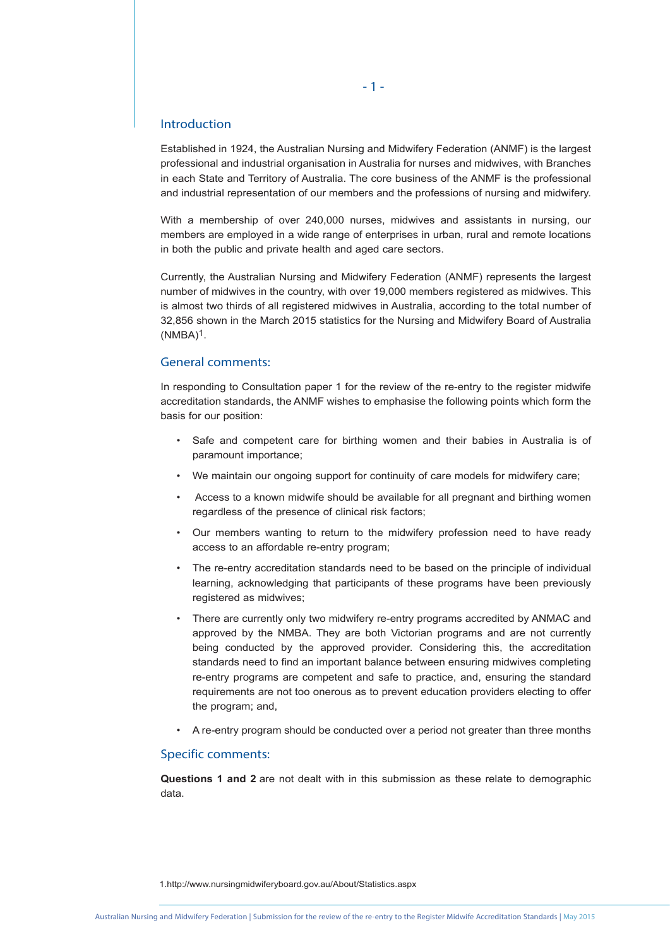# Introduction

Established in 1924, the Australian Nursing and Midwifery Federation (ANMF) is the largest professional and industrial organisation in Australia for nurses and midwives, with Branches in each State and Territory of Australia. The core business of the ANMF is the professional and industrial representation of our members and the professions of nursing and midwifery.

With a membership of over 240,000 nurses, midwives and assistants in nursing, our members are employed in a wide range of enterprises in urban, rural and remote locations in both the public and private health and aged care sectors.

Currently, the Australian Nursing and Midwifery Federation (ANMF) represents the largest number of midwives in the country, with over 19,000 members registered as midwives. This is almost two thirds of all registered midwives in Australia, according to the total number of 32,856 shown in the March 2015 statistics for the Nursing and Midwifery Board of Australia  $(NMBA)^1$ .

# General comments:

In responding to Consultation paper 1 for the review of the re-entry to the register midwife accreditation standards, the ANMF wishes to emphasise the following points which form the basis for our position:

- Safe and competent care for birthing women and their babies in Australia is of paramount importance;
- We maintain our ongoing support for continuity of care models for midwifery care;
- Access to a known midwife should be available for all pregnant and birthing women regardless of the presence of clinical risk factors;
- Our members wanting to return to the midwifery profession need to have ready access to an affordable re-entry program;
- The re-entry accreditation standards need to be based on the principle of individual learning, acknowledging that participants of these programs have been previously registered as midwives;
- There are currently only two midwifery re-entry programs accredited by ANMAC and approved by the NMBA. They are both Victorian programs and are not currently being conducted by the approved provider. Considering this, the accreditation standards need to find an important balance between ensuring midwives completing re-entry programs are competent and safe to practice, and, ensuring the standard requirements are not too onerous as to prevent education providers electing to offer the program; and,
- A re-entry program should be conducted over a period not greater than three months

# Specific comments:

**Questions 1 and 2** are not dealt with in this submission as these relate to demographic data.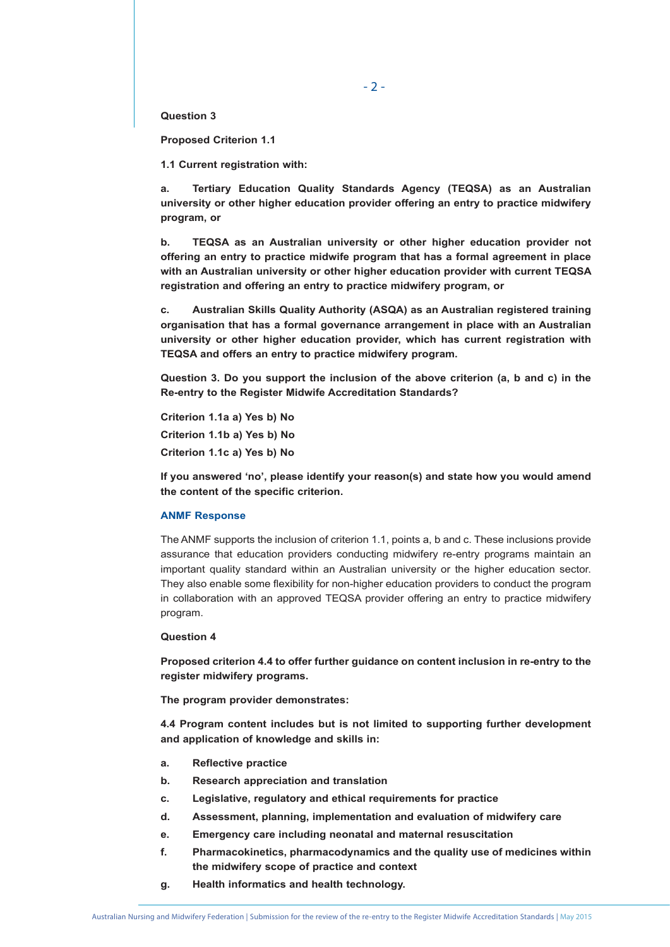$-2 -$ 

**Question 3**

**Proposed Criterion 1.1**

**1.1 Current registration with:** 

**a. Tertiary Education Quality Standards Agency (TEQSA) as an Australian university or other higher education provider offering an entry to practice midwifery program, or** 

**b. TEQSA as an Australian university or other higher education provider not offering an entry to practice midwife program that has a formal agreement in place with an Australian university or other higher education provider with current TEQSA registration and offering an entry to practice midwifery program, or** 

**c. Australian Skills Quality Authority (ASQA) as an Australian registered training organisation that has a formal governance arrangement in place with an Australian university or other higher education provider, which has current registration with TEQSA and offers an entry to practice midwifery program.** 

**Question 3. Do you support the inclusion of the above criterion (a, b and c) in the Re-entry to the Register Midwife Accreditation Standards?** 

**Criterion 1.1a a) Yes b) No Criterion 1.1b a) Yes b) No Criterion 1.1c a) Yes b) No** 

**If you answered 'no', please identify your reason(s) and state how you would amend the content of the specific criterion.** 

# **ANMF Response**

The ANMF supports the inclusion of criterion 1.1, points a, b and c. These inclusions provide assurance that education providers conducting midwifery re-entry programs maintain an important quality standard within an Australian university or the higher education sector. They also enable some flexibility for non-higher education providers to conduct the program in collaboration with an approved TEQSA provider offering an entry to practice midwifery program.

# **Question 4**

**Proposed criterion 4.4 to offer further guidance on content inclusion in re-entry to the register midwifery programs.** 

**The program provider demonstrates:** 

**4.4 Program content includes but is not limited to supporting further development and application of knowledge and skills in:** 

- **a. Reflective practice**
- **b. Research appreciation and translation**
- **c. Legislative, regulatory and ethical requirements for practice**
- **d. Assessment, planning, implementation and evaluation of midwifery care**
- **e. Emergency care including neonatal and maternal resuscitation**
- **f. Pharmacokinetics, pharmacodynamics and the quality use of medicines within the midwifery scope of practice and context**
- **g. Health informatics and health technology.**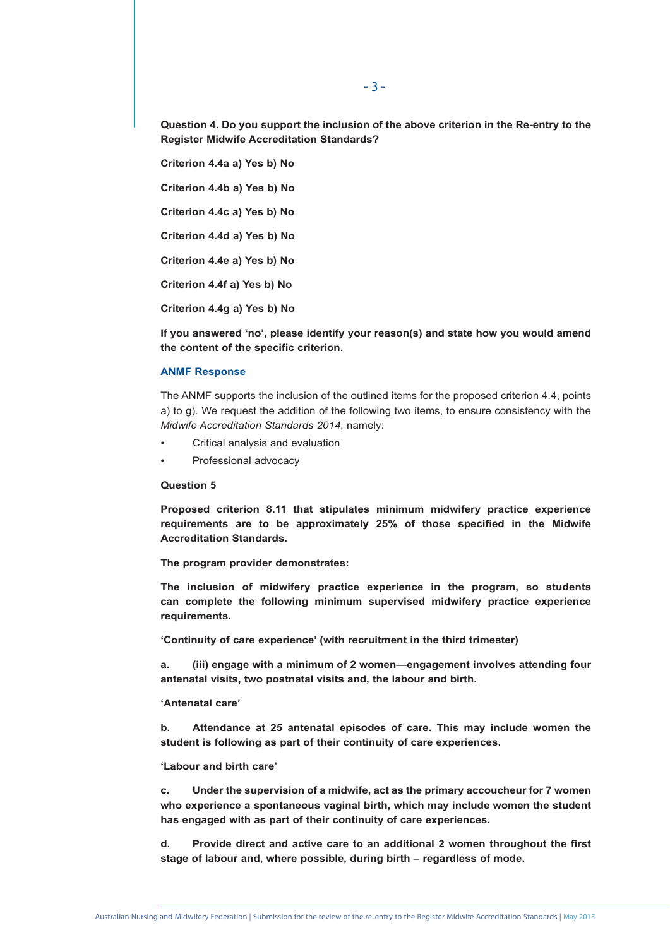**Question 4. Do you support the inclusion of the above criterion in the Re-entry to the Register Midwife Accreditation Standards?** 

**Criterion 4.4a a) Yes b) No Criterion 4.4b a) Yes b) No Criterion 4.4c a) Yes b) No Criterion 4.4d a) Yes b) No Criterion 4.4e a) Yes b) No Criterion 4.4f a) Yes b) No Criterion 4.4g a) Yes b) No** 

**If you answered 'no', please identify your reason(s) and state how you would amend the content of the specific criterion.** 

# **ANMF Response**

The ANMF supports the inclusion of the outlined items for the proposed criterion 4.4, points a) to g). We request the addition of the following two items, to ensure consistency with the *Midwife Accreditation Standards 2014*, namely:

- Critical analysis and evaluation
- Professional advocacy

# **Question 5**

**Proposed criterion 8.11 that stipulates minimum midwifery practice experience requirements are to be approximately 25% of those specified in the Midwife Accreditation Standards.** 

**The program provider demonstrates:** 

**The inclusion of midwifery practice experience in the program, so students can complete the following minimum supervised midwifery practice experience requirements.** 

**'Continuity of care experience' (with recruitment in the third trimester)** 

**a. (iii) engage with a minimum of 2 women—engagement involves attending four antenatal visits, two postnatal visits and, the labour and birth.** 

#### **'Antenatal care'**

**b. Attendance at 25 antenatal episodes of care. This may include women the student is following as part of their continuity of care experiences.** 

#### **'Labour and birth care'**

**c. Under the supervision of a midwife, act as the primary accoucheur for 7 women who experience a spontaneous vaginal birth, which may include women the student has engaged with as part of their continuity of care experiences.** 

**d. Provide direct and active care to an additional 2 women throughout the first stage of labour and, where possible, during birth – regardless of mode.**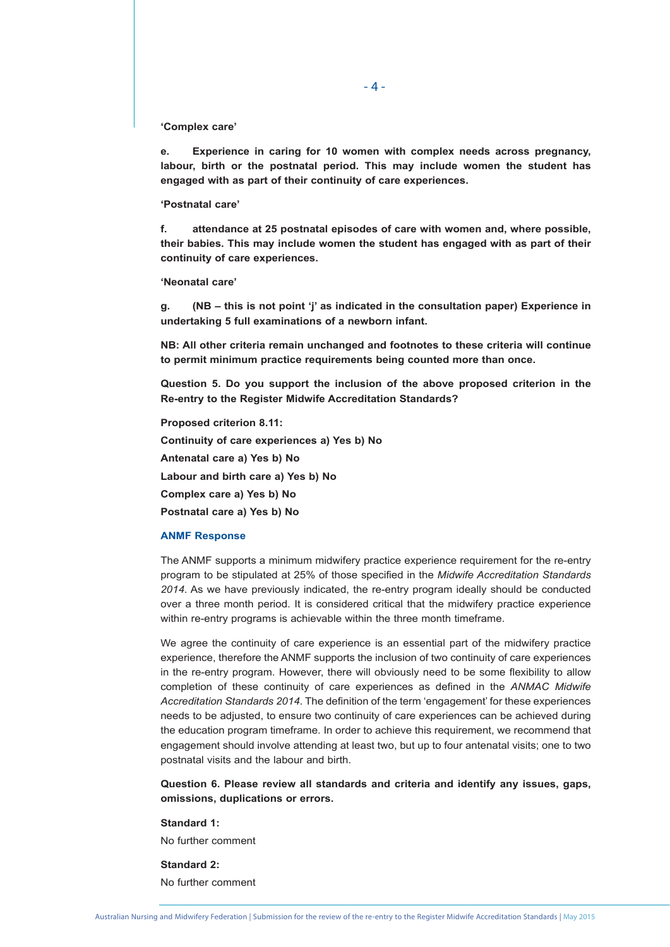# **'Complex care'**

**e. Experience in caring for 10 women with complex needs across pregnancy, labour, birth or the postnatal period. This may include women the student has engaged with as part of their continuity of care experiences.** 

#### **'Postnatal care'**

**f. attendance at 25 postnatal episodes of care with women and, where possible, their babies. This may include women the student has engaged with as part of their continuity of care experiences.** 

# **'Neonatal care'**

**g. (NB – this is not point 'j' as indicated in the consultation paper) Experience in undertaking 5 full examinations of a newborn infant.** 

**NB: All other criteria remain unchanged and footnotes to these criteria will continue to permit minimum practice requirements being counted more than once.** 

**Question 5. Do you support the inclusion of the above proposed criterion in the Re-entry to the Register Midwife Accreditation Standards?** 

**Proposed criterion 8.11: Continuity of care experiences a) Yes b) No Antenatal care a) Yes b) No Labour and birth care a) Yes b) No Complex care a) Yes b) No Postnatal care a) Yes b) No** 

# **ANMF Response**

The ANMF supports a minimum midwifery practice experience requirement for the re-entry program to be stipulated at 25% of those specified in the *Midwife Accreditation Standards 2014*. As we have previously indicated, the re-entry program ideally should be conducted over a three month period. It is considered critical that the midwifery practice experience within re-entry programs is achievable within the three month timeframe.

We agree the continuity of care experience is an essential part of the midwifery practice experience, therefore the ANMF supports the inclusion of two continuity of care experiences in the re-entry program. However, there will obviously need to be some flexibility to allow completion of these continuity of care experiences as defined in the *ANMAC Midwife Accreditation Standards 2014*. The definition of the term 'engagement' for these experiences needs to be adjusted, to ensure two continuity of care experiences can be achieved during the education program timeframe. In order to achieve this requirement, we recommend that engagement should involve attending at least two, but up to four antenatal visits; one to two postnatal visits and the labour and birth.

**Question 6. Please review all standards and criteria and identify any issues, gaps, omissions, duplications or errors.** 

## **Standard 1:**

No further comment

**Standard 2:**  No further comment